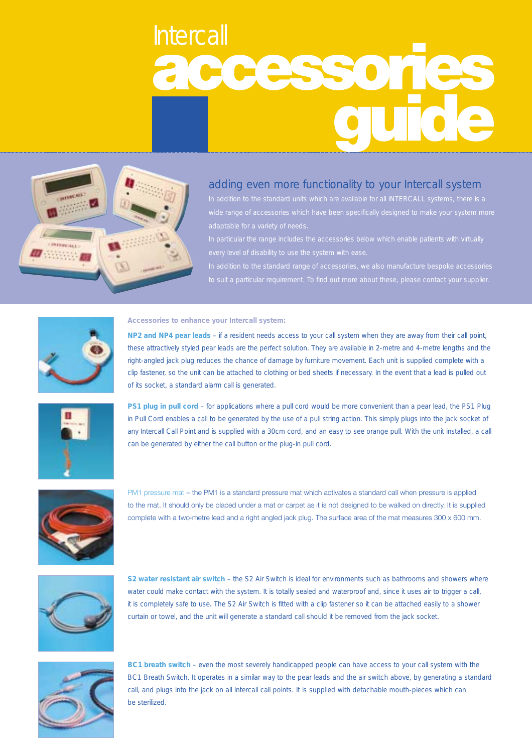## Intercall<br>20025501



## adding even more functionality to your Intercall system



**Accessories to enhance your Intercall system:**

**NP2 and NP4 pear leads** – if a resident needs access to your call system when they are away from their call point, these attractively styled pear leads are the perfect solution. They are available in 2-metre and 4-metre lengths and the right-angled jack plug reduces the chance of damage by furniture movement. Each unit is supplied complete with a clip fastener, so the unit can be attached to clothing or bed sheets if necessary. In the event that a lead is pulled out of its socket, a standard alarm call is generated.



**PS1 plug in pull cord** – for applications where a pull cord would be more convenient than a pear lead, the PS1 Plug in Pull Cord enables a call to be generated by the use of a pull string action. This simply plugs into the jack socket of any Intercall Call Point and is supplied with a 30cm cord, and an easy to see orange pull. With the unit installed, a call can be generated by either the call button or the plug-in pull cord.



PM1 pressure mat – the PM1 is a standard pressure mat which activates a standard call when pressure is applied to the mat. It should only be placed under a mat or carpet as it is not designed to be walked on directly. It is supplied complete with a two-metre lead and a right angled jack plug. The surface area of the mat measures 300 x 600 mm.



**S2 water resistant air switch** – the S2 Air Switch is ideal for environments such as bathrooms and showers where water could make contact with the system. It is totally sealed and waterproof and, since it uses air to trigger a call, it is completely safe to use. The S2 Air Switch is fitted with a clip fastener so it can be attached easily to a shower curtain or towel, and the unit will generate a standard call should it be removed from the jack socket.



**BC1 breath switch** – even the most severely handicapped people can have access to your call system with the BC1 Breath Switch. It operates in a similar way to the pear leads and the air switch above, by generating a standard call, and plugs into the jack on all Intercall call points. It is supplied with detachable mouth-pieces which can be sterilized.